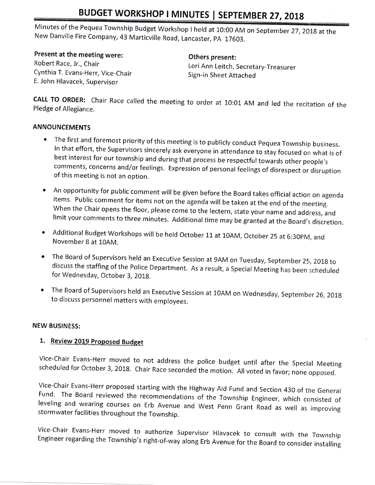## BUDGET WORKSHOP I MINUTES | SEPTEMBER 27, 2018

Minutes of the Pequea Township Budget Workshop I held at 10:00 AM on September 27, 2018 at the New Danville Fire Company, 43 Marticville Road, Lancaster, PA 17603.

Present at the meeting were: Robert Race, Jr., Chair Cynthia T. Evans-Herr, Vice-Chair

E. John Hlavacek, Supervisor

Others present:

Lori Ann Leitch, Secretary-Treasurer Sign-in Sheet Attached

CALL TO ORDER: Chair Race called the meeting to order at 10:01 AM and led the recitation of the Pledge of Allegiance.

### **ANNOUNCEMENTS**

- $\bullet$  The first and foremost priority of this meeting is to publicly conduct Pequea Township business. In that effort, the Supervisors sincerely ask everyone in attendance to stay focused on what is of best interest for our township and during that process be respectful towards other people's comments, concerns and/or feelings. Expression of personal feelings of disrespect or disruption of this meeting is not an option.
- An opportunity for public comment will be given before the Board takes official action on agenda<br>items. Public comment for items not on the agenda will be taken at the end of the meeting.<br>When the Chair opens the floor,
- Additional Budget Workshops will be held October 11 at 10AM, October 25 at 6:30PM, and November 8 at 10AM.
- The Board of Supervisors held an Executive Session at 9AM on Tuesday, September 25, 2018 to discuss the staffing of the Police Department. As a result, a Special Meeting has been scheduled for Wednesday, October 3, 2018.
- The Board of Supervisors held an Executive Session at 10AM on Wednesday, September 26, 2018<br>to discuss personnel matters with employees.

#### **NEW BUSINESS:**

#### 1. Review 2019 Proposed Budget

Vice-Chair Evans-Herr moved to not address the police budget until after the Special Meeting scheduled for October 3, 2018. Chair Race seconded the motion. All voted in favor; none opposed.

Vice-Chair Evans-Herr proposed starting with the Highway Aid Fund and Section 430 of the General Fund. The Board reviewed the recommendations of the Township Engineer, which consisted of leveling and wearing courses on Erb

Vice-Chair Evans-Herr moved to authorize Supervisor Hlavacek to consult with the Township<br>Engineer regarding the Township's right-of-way along Erb Avenue for the Board to consider installing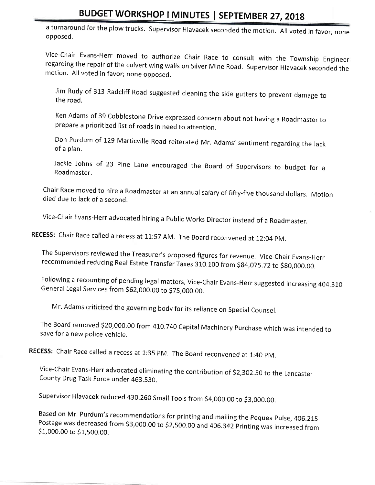## BUDGET WORKSHOP I MINUTES I SEPTEMBER 27,20t8

a turnaround for the plow trucks. Supervisor Hlavacek seconded the motion. All voted in favor; none opposed.

Vice-Chair Evans-Herr moved to authorize Chair Race to consult with the Township Engineer<br>regarding the repair of the culvert wing walls on Silver Mine Road. Supervisor Hlavacek seconded the<br>motion. All voted in favor: non

Jim Rudy of 313 Radcliff Road suggested cleaning the side gutters to prevent damage to the road.

Ken Adams of 39 Cobblestone Drive expressed concern about not having a Roadmaster to prepare a prioritized list of roads in need to attention.

Don Purdum of 129 Marticville Road reiterated Mr. Adams' sentiment regarding the lack of a plan.

Jackie Johns of 23 Pine Lane encouraged the Board of supervisors to budget for <sup>a</sup> Roadmaster.

Chair Race moved to hire a Roadmaster at an annual salary of fifty-five thousand dollars. Motion died due to lack of a second.

Vice-chair Evans-Herr advocated hiring a Public works Director instead of a Roadmaster.

RECESS: Chair Race called a recess at 11:57 AM. The Board reconvened at 12:04 PM.

The Supervisors reviewed the Treasurer's proposed figures for revenue. Vice-Chair Evans-Herr recommended reducing Real Estate Transfer Taxes 310.100 from \$84,075.72 to \$80,000.00.

Following a recounting of pending legal matters, Vice-Chair Evans-Herr suggested increasing 404.310<br>General Legal Services from \$62,000.00 to \$75.000.00.

Mr. Adams criticized the governing body for its reliance on Special Counsel.

The Board removed \$20,000.00 from 410.740 Capital Machinery Purchase which was intended to save for a new police vehicle.

RECESS: Chair Race called a recess at 1:35 PM. The Board reconvened at 1:40 PM.

Vice-chair Evans-Herr advocated eliminating the contribution of 52,302.50 to the Lancaster County Drug Task Force under 463.530.

Supervisor Hlavacek reduced 430.260 Small Tools from \$4,000.00 to \$3,000.00.

Based on Mr. Purdum's recommendations for printing and mailing the Pequea Pulse, 406.215<br>Postage was decreased from \$3,000.00 to \$2,500.00 and 406.342 Printing was increased from \$1,000.00 to \$1,500.00.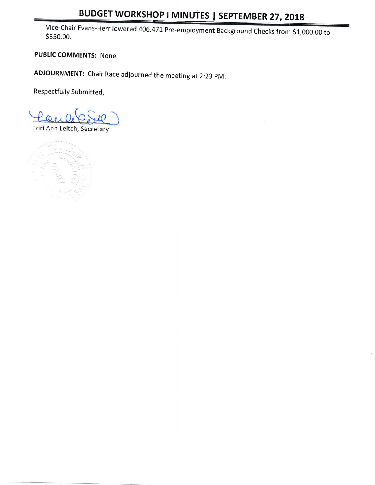# BUDGET WORKSHOP I MINUTES | SEPTEMBER 27, 2018

Vice-Chair Evans-Herr lowered 406.471 Pre-employment Background Checks from \$1,000.00 to \$350.00.

PUBLIC COMMENTS: None

ADJOURNMENT: chair Race adjourned the meeting at 2:23 pM.

Respectfully Submitted,

Lori Ann Leitch, Secretary